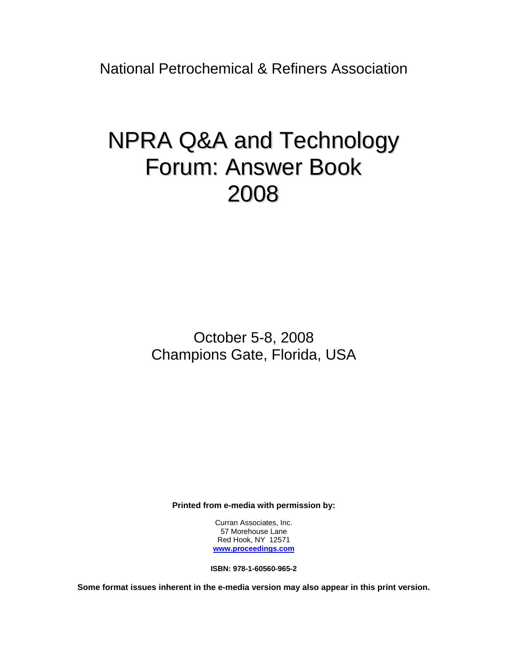National Petrochemical & Refiners Association

# NPRA Q&A and Technology Forum: Answer Book 2008

October 5-8, 2008 Champions Gate, Florida, USA

**Printed from e-media with permission by:** 

Curran Associates, Inc. 57 Morehouse Lane Red Hook, NY 12571 **[www.proceedings.com](http://www.proceedings.com/)**

**ISBN: 978-1-60560-965-2** 

**Some format issues inherent in the e-media version may also appear in this print version.**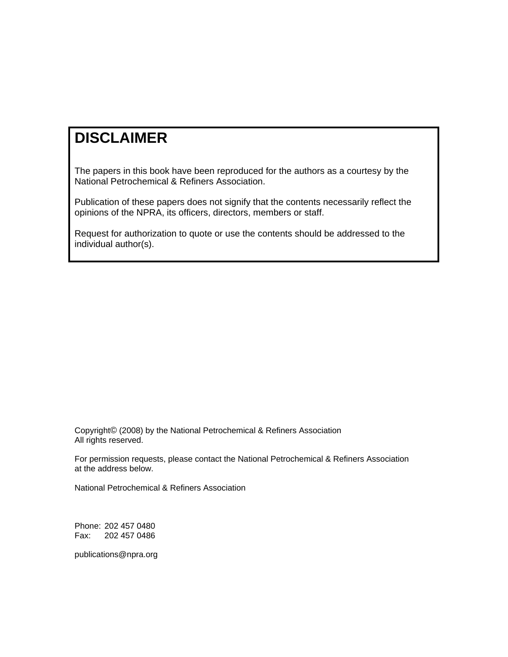# **DISCLAIMER**

The papers in this book have been reproduced for the authors as a courtesy by the National Petrochemical & Refiners Association.

Publication of these papers does not signify that the contents necessarily reflect the opinions of the NPRA, its officers, directors, members or staff.

Request for authorization to quote or use the contents should be addressed to the individual author(s).

Copyright© (2008) by the National Petrochemical & Refiners Association All rights reserved.

For permission requests, please contact the National Petrochemical & Refiners Association at the address below.

National Petrochemical & Refiners Association

Phone: 202 457 0480 Fax: 202 457 0486

publications@npra.org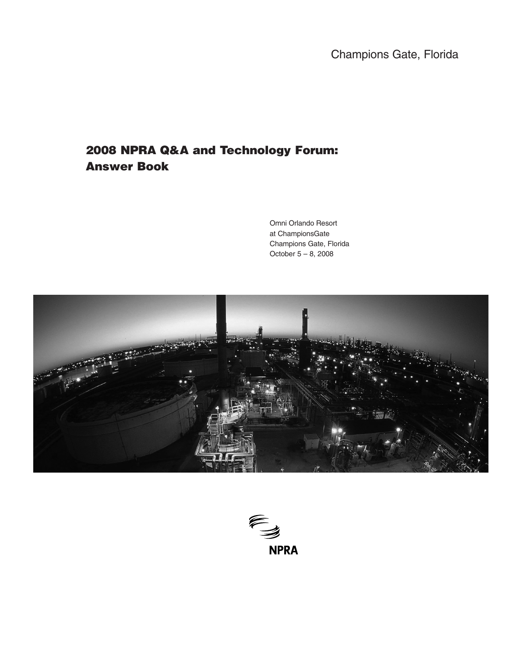Champions Gate, Florida

# **2008 NPRA Q&A and Technology Forum: Answer Book**

Omni Orlando Resort at ChampionsGate Champions Gate, Florida October 5 – 8, 2008



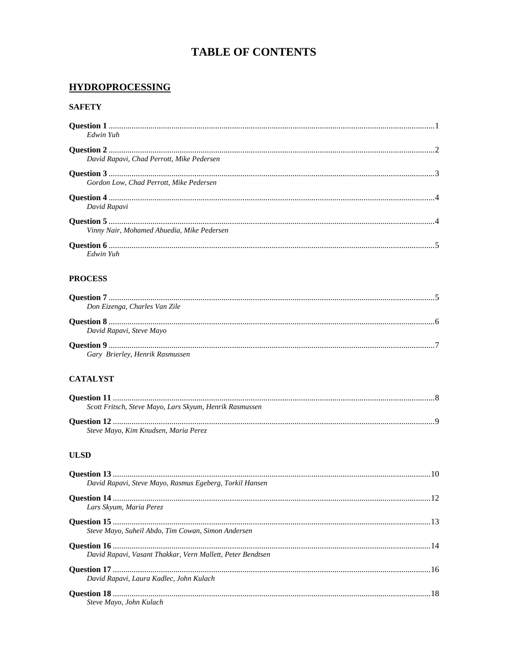# **TABLE OF CONTENTS**

## **HYDROPROCESSING**

#### **SAFETY**

| Edwin Yuh                                  |  |
|--------------------------------------------|--|
| David Rapavi, Chad Perrott, Mike Pedersen  |  |
|                                            |  |
| Gordon Low. Chad Perrott. Mike Pedersen    |  |
| David Rapavi                               |  |
|                                            |  |
| Vinny Nair, Mohamed Abuedia, Mike Pedersen |  |
|                                            |  |
| Edwin Yuh                                  |  |

#### **PROCESS**

| Don Eizenga, Charles Van Zile   |  |
|---------------------------------|--|
|                                 |  |
| David Rapavi, Steve Mayo        |  |
| Gary Brierley, Henrik Rasmussen |  |
|                                 |  |

#### **CATALYST**

| Scott Fritsch, Steve Mayo, Lars Skyum, Henrik Rasmussen |  |
|---------------------------------------------------------|--|
|                                                         |  |
| Steve Mayo, Kim Knudsen, Maria Perez                    |  |

#### **ULSD**

| David Rapavi, Steve Mayo, Rasmus Egeberg, Torkil Hansen    |  |
|------------------------------------------------------------|--|
|                                                            |  |
| Lars Skyum, Maria Perez                                    |  |
|                                                            |  |
| Steve Mayo, Suheil Abdo, Tim Cowan, Simon Andersen         |  |
|                                                            |  |
| David Rapavi, Vasant Thakkar, Vern Mallett, Peter Bendtsen |  |
|                                                            |  |
| David Rapavi, Laura Kadlec, John Kulach                    |  |
|                                                            |  |
| Steve Mayo, John Kulach                                    |  |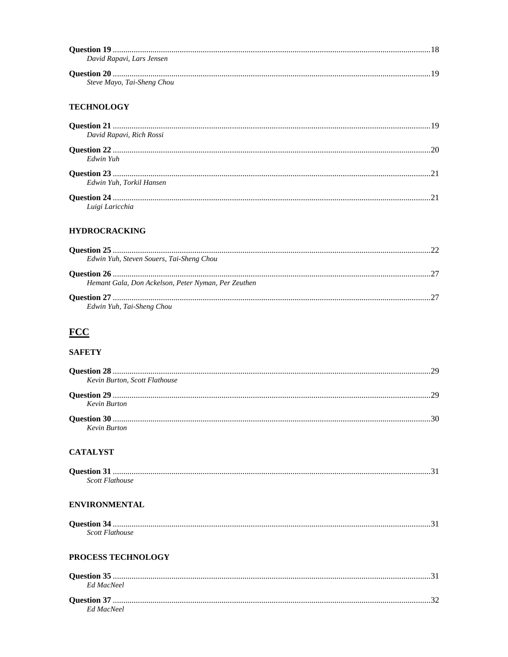| David Rapavi, Lars Jensen  |  |
|----------------------------|--|
|                            |  |
| Steve Mayo, Tai-Sheng Chou |  |

#### **TECHNOLOGY**

|                          | 19 |
|--------------------------|----|
| David Rapavi, Rich Rossi |    |
|                          | 20 |
| Edwin Yuh                |    |
|                          |    |
| Edwin Yuh. Torkil Hansen |    |
|                          |    |
| Luigi Laricchia          |    |

#### **HYDROCRACKING**

| Edwin Yuh, Steven Souers, Tai-Sheng Chou            |  |
|-----------------------------------------------------|--|
|                                                     |  |
| Hemant Gala, Don Ackelson, Peter Nyman, Per Zeuthen |  |
|                                                     |  |
| Edwin Yuh, Tai-Sheng Chou                           |  |

# $FCC$ </u>

#### **SAFETY**

| Kevin Burton, Scott Flathouse |  |
|-------------------------------|--|
|                               |  |
| Kevin Burton                  |  |
|                               |  |
| Kevin Burton                  |  |

#### **CATALYST**

| Scott Flathouse |  |
|-----------------|--|

#### **ENVIRONMENTAL**

| Scott Flathouse |  |
|-----------------|--|

#### PROCESS TECHNOLOGY

| Ed MacNeel |  |
|------------|--|
|            |  |
| Ed MacNeel |  |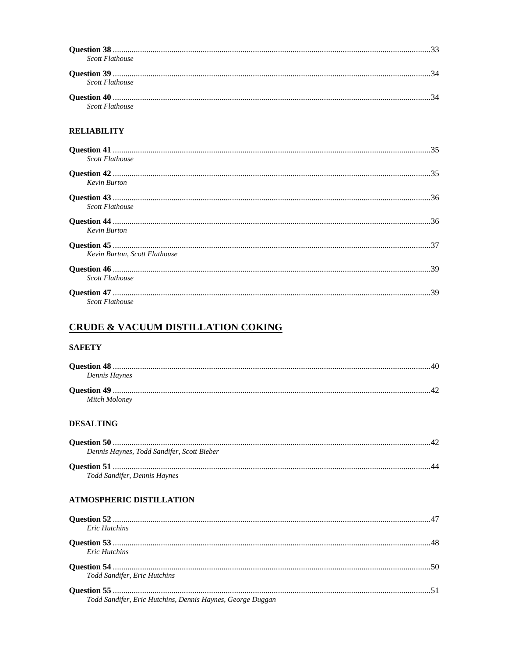| <b>Scott Flathouse</b>        |  |
|-------------------------------|--|
| Scott Flathouse               |  |
| <b>Scott Flathouse</b>        |  |
| <b>RELIABILITY</b>            |  |
| <b>Scott Flathouse</b>        |  |
| <b>Kevin Burton</b>           |  |
| <b>Scott Flathouse</b>        |  |
| <b>Kevin Burton</b>           |  |
| Kevin Burton, Scott Flathouse |  |
| <b>Scott Flathouse</b>        |  |

## **CRUDE & VACUUM DISTILLATION COKING**

#### **SAFETY**

Scott Flathouse

| Dennis Haynes |  |
|---------------|--|
|               |  |
| Mitch Moloney |  |

#### **DESALTING**

| Dennis Haynes, Todd Sandifer, Scott Bieber |  |
|--------------------------------------------|--|
|                                            |  |
| Todd Sandifer, Dennis Haynes               |  |

#### **ATMOSPHERIC DISTILLATION**

| <b>Eric Hutchins</b>                                       |  |
|------------------------------------------------------------|--|
|                                                            |  |
| <b>Eric Hutchins</b>                                       |  |
|                                                            |  |
| Todd Sandifer, Eric Hutchins                               |  |
|                                                            |  |
| Todd Sandifer, Eric Hutchins, Dennis Haynes, George Duggan |  |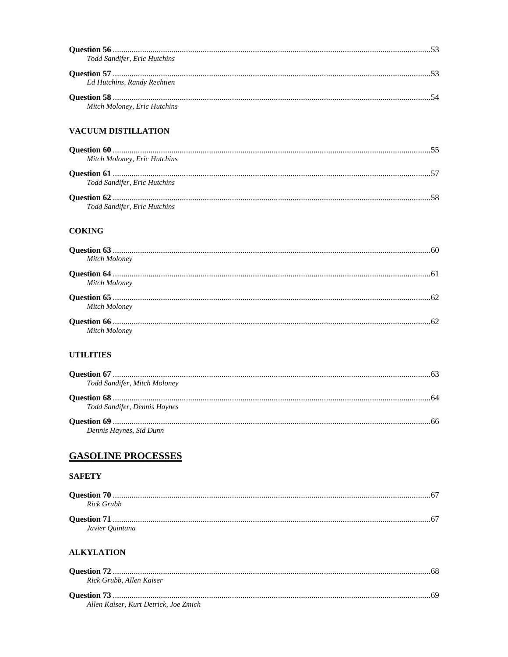| Todd Sandifer, Eric Hutchins |  |
|------------------------------|--|
| Ed Hutchins, Randy Rechtien  |  |
| Mitch Moloney, Eric Hutchins |  |
| <b>VACUUM DISTILLATION</b>   |  |
| Mitch Moloney, Eric Hutchins |  |
| Todd Sandifer, Eric Hutchins |  |
| Todd Sandifer, Eric Hutchins |  |
| <b>COKING</b>                |  |
| Mitch Moloney                |  |
| Mitch Moloney                |  |
| Mitch Moloney                |  |
| Mitch Moloney                |  |

#### **UTILITIES**

| Todd Sandifer, Mitch Moloney |  |
|------------------------------|--|
|                              |  |
| Todd Sandifer, Dennis Haynes |  |
|                              |  |
| Dennis Haynes, Sid Dunn      |  |

# **GASOLINE PROCESSES**

#### **SAFETY**

| Rick Grubb      |  |
|-----------------|--|
|                 |  |
| Javier Ouintana |  |

#### **ALKYLATION**

| Rick Grubb, Allen Kaiser              |  |
|---------------------------------------|--|
|                                       |  |
| Allen Kaiser, Kurt Detrick, Joe Zmich |  |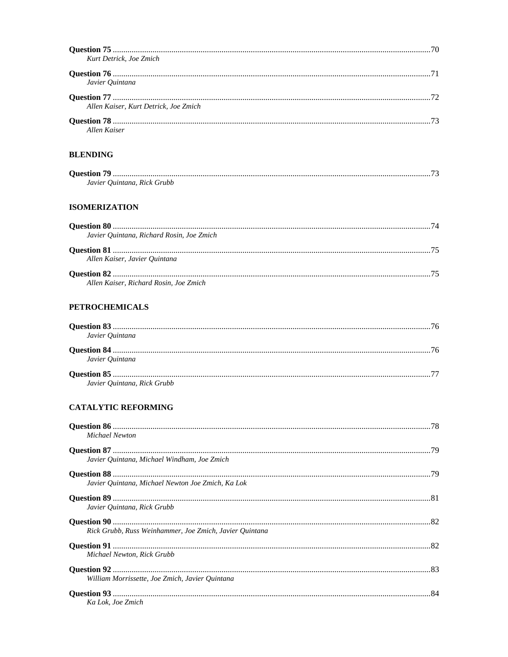| Kurt Detrick, Joe Zmich                   |
|-------------------------------------------|
| Javier Ouintana                           |
| Allen Kaiser, Kurt Detrick, Joe Zmich     |
| <b>Allen Kaiser</b>                       |
| <b>BLENDING</b>                           |
| Javier Ouintana, Rick Grubb               |
| <b>ISOMERIZATION</b>                      |
| Javier Quintana, Richard Rosin, Joe Zmich |
| Allen Kaiser, Javier Ouintana             |
| Allen Kaiser, Richard Rosin, Joe Zmich    |
| <b>PETROCHEMICALS</b>                     |

### **TROCHEMICALS**

| Javier Ouintana             |  |
|-----------------------------|--|
| Javier Ouintana             |  |
| Javier Ouintana, Rick Grubb |  |

#### **CATALYTIC REFORMING**

| Michael Newton                                          |  |
|---------------------------------------------------------|--|
|                                                         |  |
| Javier Ouintana, Michael Windham, Joe Zmich             |  |
|                                                         |  |
| Javier Ouintana, Michael Newton Joe Zmich, Ka Lok       |  |
| Javier Quintana, Rick Grubb                             |  |
| Rick Grubb, Russ Weinhammer, Joe Zmich, Javier Ouintana |  |
| Michael Newton, Rick Grubb                              |  |
| William Morrissette, Joe Zmich, Javier Ouintana         |  |
| Ka Lok. Joe Zmich                                       |  |